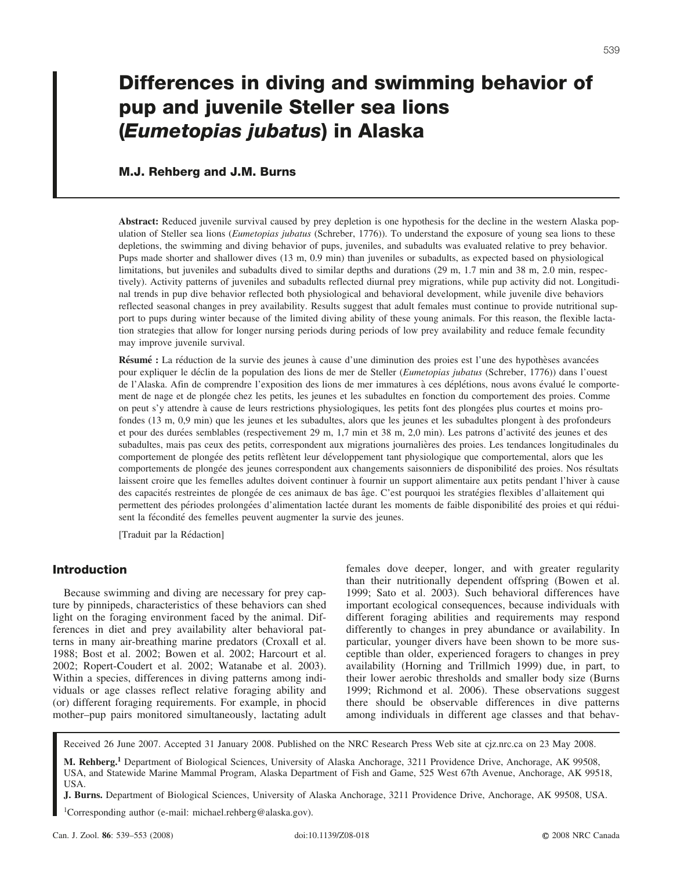# **Differences in diving and swimming behavior of pup and juvenile Steller sea lions (***Eumetopias jubatus***) in Alaska**

## **M.J. Rehberg and J.M. Burns**

**Abstract:** Reduced juvenile survival caused by prey depletion is one hypothesis for the decline in the western Alaska population of Steller sea lions (*Eumetopias jubatus* (Schreber, 1776)). To understand the exposure of young sea lions to these depletions, the swimming and diving behavior of pups, juveniles, and subadults was evaluated relative to prey behavior. Pups made shorter and shallower dives (13 m, 0.9 min) than juveniles or subadults, as expected based on physiological limitations, but juveniles and subadults dived to similar depths and durations (29 m, 1.7 min and 38 m, 2.0 min, respectively). Activity patterns of juveniles and subadults reflected diurnal prey migrations, while pup activity did not. Longitudinal trends in pup dive behavior reflected both physiological and behavioral development, while juvenile dive behaviors reflected seasonal changes in prey availability. Results suggest that adult females must continue to provide nutritional support to pups during winter because of the limited diving ability of these young animals. For this reason, the flexible lactation strategies that allow for longer nursing periods during periods of low prey availability and reduce female fecundity may improve juvenile survival.

Résumé : La réduction de la survie des jeunes à cause d'une diminution des proies est l'une des hypothèses avancées pour expliquer le de´clin de la population des lions de mer de Steller (*Eumetopias jubatus* (Schreber, 1776)) dans l'ouest de l'Alaska. Afin de comprendre l'exposition des lions de mer immatures à ces déplétions, nous avons évalué le comportement de nage et de plongée chez les petits, les jeunes et les subadultes en fonction du comportement des proies. Comme on peut s'y attendre à cause de leurs restrictions physiologiques, les petits font des plongées plus courtes et moins profondes (13 m, 0,9 min) que les jeunes et les subadultes, alors que les jeunes et les subadultes plongent à des profondeurs et pour des durées semblables (respectivement 29 m, 1,7 min et 38 m, 2,0 min). Les patrons d'activité des jeunes et des subadultes, mais pas ceux des petits, correspondent aux migrations journalières des proies. Les tendances longitudinales du comportement de plongée des petits reflètent leur développement tant physiologique que comportemental, alors que les comportements de plongée des jeunes correspondent aux changements saisonniers de disponibilité des proies. Nos résultats laissent croire que les femelles adultes doivent continuer à fournir un support alimentaire aux petits pendant l'hiver à cause des capacités restreintes de plongée de ces animaux de bas âge. C'est pourquoi les stratégies flexibles d'allaitement qui permettent des périodes prolongées d'alimentation lactée durant les moments de faible disponibilité des proies et qui réduisent la fécondité des femelles peuvent augmenter la survie des jeunes.

[Traduit par la Rédaction]

# **Introduction**

Because swimming and diving are necessary for prey capture by pinnipeds, characteristics of these behaviors can shed light on the foraging environment faced by the animal. Differences in diet and prey availability alter behavioral patterns in many air-breathing marine predators (Croxall et al. 1988; Bost et al. 2002; Bowen et al. 2002; Harcourt et al. 2002; Ropert-Coudert et al. 2002; Watanabe et al. 2003). Within a species, differences in diving patterns among individuals or age classes reflect relative foraging ability and (or) different foraging requirements. For example, in phocid mother–pup pairs monitored simultaneously, lactating adult

females dove deeper, longer, and with greater regularity than their nutritionally dependent offspring (Bowen et al. 1999; Sato et al. 2003). Such behavioral differences have important ecological consequences, because individuals with different foraging abilities and requirements may respond differently to changes in prey abundance or availability. In particular, younger divers have been shown to be more susceptible than older, experienced foragers to changes in prey availability (Horning and Trillmich 1999) due, in part, to their lower aerobic thresholds and smaller body size (Burns 1999; Richmond et al. 2006). These observations suggest there should be observable differences in dive patterns among individuals in different age classes and that behav-

Received 26 June 2007. Accepted 31 January 2008. Published on the NRC Research Press Web site at cjz.nrc.ca on 23 May 2008.

**M. Rehberg.<sup>1</sup>** Department of Biological Sciences, University of Alaska Anchorage, 3211 Providence Drive, Anchorage, AK 99508, USA, and Statewide Marine Mammal Program, Alaska Department of Fish and Game, 525 West 67th Avenue, Anchorage, AK 99518, USA.

**J. Burns.** Department of Biological Sciences, University of Alaska Anchorage, 3211 Providence Drive, Anchorage, AK 99508, USA.

1Corresponding author (e-mail: michael.rehberg@alaska.gov).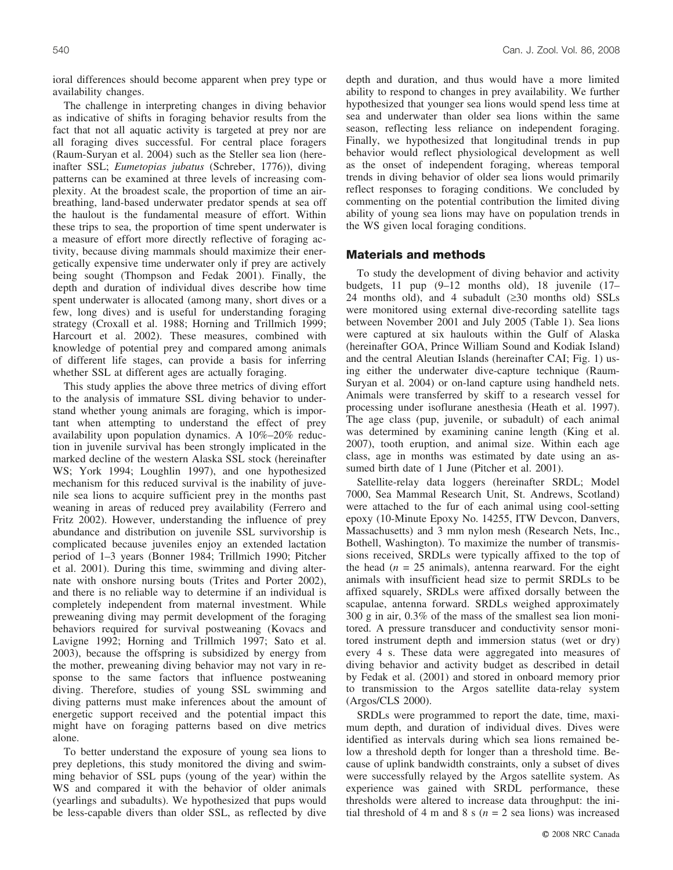ioral differences should become apparent when prey type or availability changes.

The challenge in interpreting changes in diving behavior as indicative of shifts in foraging behavior results from the fact that not all aquatic activity is targeted at prey nor are all foraging dives successful. For central place foragers (Raum-Suryan et al. 2004) such as the Steller sea lion (hereinafter SSL; *Eumetopias jubatus* (Schreber, 1776)), diving patterns can be examined at three levels of increasing complexity. At the broadest scale, the proportion of time an airbreathing, land-based underwater predator spends at sea off the haulout is the fundamental measure of effort. Within these trips to sea, the proportion of time spent underwater is a measure of effort more directly reflective of foraging activity, because diving mammals should maximize their energetically expensive time underwater only if prey are actively being sought (Thompson and Fedak 2001). Finally, the depth and duration of individual dives describe how time spent underwater is allocated (among many, short dives or a few, long dives) and is useful for understanding foraging strategy (Croxall et al. 1988; Horning and Trillmich 1999; Harcourt et al. 2002). These measures, combined with knowledge of potential prey and compared among animals of different life stages, can provide a basis for inferring whether SSL at different ages are actually foraging.

This study applies the above three metrics of diving effort to the analysis of immature SSL diving behavior to understand whether young animals are foraging, which is important when attempting to understand the effect of prey availability upon population dynamics. A 10%–20% reduction in juvenile survival has been strongly implicated in the marked decline of the western Alaska SSL stock (hereinafter WS; York 1994; Loughlin 1997), and one hypothesized mechanism for this reduced survival is the inability of juvenile sea lions to acquire sufficient prey in the months past weaning in areas of reduced prey availability (Ferrero and Fritz 2002). However, understanding the influence of prey abundance and distribution on juvenile SSL survivorship is complicated because juveniles enjoy an extended lactation period of 1–3 years (Bonner 1984; Trillmich 1990; Pitcher et al. 2001). During this time, swimming and diving alternate with onshore nursing bouts (Trites and Porter 2002), and there is no reliable way to determine if an individual is completely independent from maternal investment. While preweaning diving may permit development of the foraging behaviors required for survival postweaning (Kovacs and Lavigne 1992; Horning and Trillmich 1997; Sato et al. 2003), because the offspring is subsidized by energy from the mother, preweaning diving behavior may not vary in response to the same factors that influence postweaning diving. Therefore, studies of young SSL swimming and diving patterns must make inferences about the amount of energetic support received and the potential impact this might have on foraging patterns based on dive metrics alone.

To better understand the exposure of young sea lions to prey depletions, this study monitored the diving and swimming behavior of SSL pups (young of the year) within the WS and compared it with the behavior of older animals (yearlings and subadults). We hypothesized that pups would be less-capable divers than older SSL, as reflected by dive depth and duration, and thus would have a more limited ability to respond to changes in prey availability. We further hypothesized that younger sea lions would spend less time at sea and underwater than older sea lions within the same season, reflecting less reliance on independent foraging. Finally, we hypothesized that longitudinal trends in pup behavior would reflect physiological development as well as the onset of independent foraging, whereas temporal trends in diving behavior of older sea lions would primarily reflect responses to foraging conditions. We concluded by commenting on the potential contribution the limited diving ability of young sea lions may have on population trends in the WS given local foraging conditions.

# **Materials and methods**

To study the development of diving behavior and activity budgets, 11 pup (9–12 months old), 18 juvenile (17– 24 months old), and 4 subadult  $(\geq 30$  months old) SSLs were monitored using external dive-recording satellite tags between November 2001 and July 2005 (Table 1). Sea lions were captured at six haulouts within the Gulf of Alaska (hereinafter GOA, Prince William Sound and Kodiak Island) and the central Aleutian Islands (hereinafter CAI; Fig. 1) using either the underwater dive-capture technique (Raum-Suryan et al. 2004) or on-land capture using handheld nets. Animals were transferred by skiff to a research vessel for processing under isoflurane anesthesia (Heath et al. 1997). The age class (pup, juvenile, or subadult) of each animal was determined by examining canine length (King et al. 2007), tooth eruption, and animal size. Within each age class, age in months was estimated by date using an assumed birth date of 1 June (Pitcher et al. 2001).

Satellite-relay data loggers (hereinafter SRDL; Model 7000, Sea Mammal Research Unit, St. Andrews, Scotland) were attached to the fur of each animal using cool-setting epoxy (10-Minute Epoxy No. 14255, ITW Devcon, Danvers, Massachusetts) and 3 mm nylon mesh (Research Nets, Inc., Bothell, Washington). To maximize the number of transmissions received, SRDLs were typically affixed to the top of the head  $(n = 25 \text{ animals})$ , antenna rearward. For the eight animals with insufficient head size to permit SRDLs to be affixed squarely, SRDLs were affixed dorsally between the scapulae, antenna forward. SRDLs weighed approximately 300 g in air, 0.3% of the mass of the smallest sea lion monitored. A pressure transducer and conductivity sensor monitored instrument depth and immersion status (wet or dry) every 4 s. These data were aggregated into measures of diving behavior and activity budget as described in detail by Fedak et al. (2001) and stored in onboard memory prior to transmission to the Argos satellite data-relay system (Argos/CLS 2000).

SRDLs were programmed to report the date, time, maximum depth, and duration of individual dives. Dives were identified as intervals during which sea lions remained below a threshold depth for longer than a threshold time. Because of uplink bandwidth constraints, only a subset of dives were successfully relayed by the Argos satellite system. As experience was gained with SRDL performance, these thresholds were altered to increase data throughput: the initial threshold of 4 m and 8 s ( $n = 2$  sea lions) was increased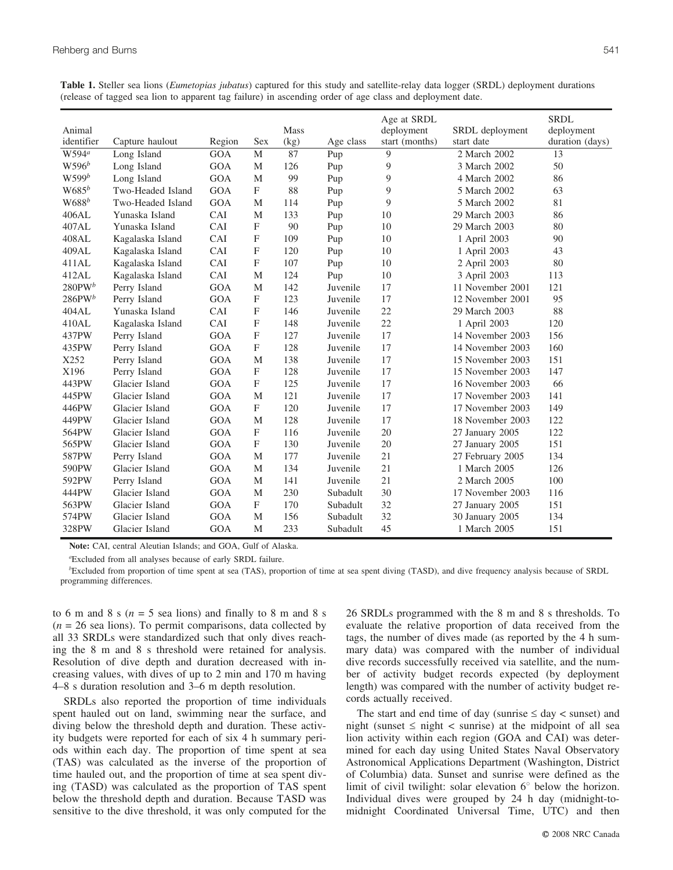|                   |                   |            |            |      |           | Age at SRDL    |                  | <b>SRDL</b>     |
|-------------------|-------------------|------------|------------|------|-----------|----------------|------------------|-----------------|
| Animal            |                   |            |            | Mass |           | deployment     | SRDL deployment  | deployment      |
| identifier        | Capture haulout   | Region     | Sex        | (kg) | Age class | start (months) | start date       | duration (days) |
| W594 <sup>a</sup> | Long Island       | <b>GOA</b> | M          | 87   | Pup       | 9              | 2 March 2002     | 13              |
| $W596^b$          | Long Island       | <b>GOA</b> | M          | 126  | Pup       | 9              | 3 March 2002     | 50              |
| $W599^b$          | Long Island       | <b>GOA</b> | M          | 99   | Pup       | 9              | 4 March 2002     | 86              |
| $W685^b$          | Two-Headed Island | <b>GOA</b> | F          | 88   | Pup       | 9              | 5 March 2002     | 63              |
| $W688^b$          | Two-Headed Island | <b>GOA</b> | M          | 114  | Pup       | 9              | 5 March 2002     | 81              |
| 406AL             | Yunaska Island    | CAI        | M          | 133  | Pup       | 10             | 29 March 2003    | 86              |
| 407AL             | Yunaska Island    | CAI        | F          | 90   | Pup       | 10             | 29 March 2003    | 80              |
| 408AL             | Kagalaska Island  | CAI        | F          | 109  | Pup       | 10             | 1 April 2003     | 90              |
| 409AL             | Kagalaska Island  | CAI        | F          | 120  | Pup       | 10             | 1 April 2003     | 43              |
| 411AL             | Kagalaska Island  | CAI        | F          | 107  | Pup       | 10             | 2 April 2003     | 80              |
| 412AL             | Kagalaska Island  | CAI        | M          | 124  | Pup       | 10             | 3 April 2003     | 113             |
| $280$ PW $^b$     | Perry Island      | <b>GOA</b> | M          | 142  | Juvenile  | 17             | 11 November 2001 | 121             |
| $286$ PW $^b$     | Perry Island      | <b>GOA</b> | F          | 123  | Juvenile  | 17             | 12 November 2001 | 95              |
| 404AL             | Yunaska Island    | CAI        | F          | 146  | Juvenile  | 22             | 29 March 2003    | 88              |
| 410AL             | Kagalaska Island  | CAI        | F          | 148  | Juvenile  | 22             | 1 April 2003     | 120             |
| 437PW             | Perry Island      | <b>GOA</b> | F          | 127  | Juvenile  | 17             | 14 November 2003 | 156             |
| 435PW             | Perry Island      | GOA        | F          | 128  | Juvenile  | 17             | 14 November 2003 | 160             |
| X252              | Perry Island      | <b>GOA</b> | M          | 138  | Juvenile  | 17             | 15 November 2003 | 151             |
| X196              | Perry Island      | GOA        | F          | 128  | Juvenile  | 17             | 15 November 2003 | 147             |
| 443PW             | Glacier Island    | GOA        | F          | 125  | Juvenile  | 17             | 16 November 2003 | 66              |
| 445PW             | Glacier Island    | <b>GOA</b> | M          | 121  | Juvenile  | 17             | 17 November 2003 | 141             |
| 446PW             | Glacier Island    | GOA        | F          | 120  | Juvenile  | 17             | 17 November 2003 | 149             |
| 449PW             | Glacier Island    | <b>GOA</b> | M          | 128  | Juvenile  | 17             | 18 November 2003 | 122             |
| 564PW             | Glacier Island    | GOA        | F          | 116  | Juvenile  | 20             | 27 January 2005  | 122             |
| 565PW             | Glacier Island    | GOA        | F          | 130  | Juvenile  | 20             | 27 January 2005  | 151             |
| 587PW             | Perry Island      | GOA        | M          | 177  | Juvenile  | 21             | 27 February 2005 | 134             |
| 590PW             | Glacier Island    | GOA        | M          | 134  | Juvenile  | 21             | 1 March 2005     | 126             |
| 592PW             | Perry Island      | <b>GOA</b> | M          | 141  | Juvenile  | 21             | 2 March 2005     | 100             |
| 444PW             | Glacier Island    | GOA        | M          | 230  | Subadult  | 30             | 17 November 2003 | 116             |
| 563PW             | Glacier Island    | <b>GOA</b> | $_{\rm F}$ | 170  | Subadult  | 32             | 27 January 2005  | 151             |
| 574PW             | Glacier Island    | GOA        | M          | 156  | Subadult  | 32             | 30 January 2005  | 134             |
| 328PW             | Glacier Island    | GOA        | M          | 233  | Subadult  | 45             | 1 March 2005     | 151             |

**Table 1.** Steller sea lions (*Eumetopias jubatus*) captured for this study and satellite-relay data logger (SRDL) deployment durations (release of tagged sea lion to apparent tag failure) in ascending order of age class and deployment date.

**Note:** CAI, central Aleutian Islands; and GOA, Gulf of Alaska.

a Excluded from all analyses because of early SRDL failure.

<sup>b</sup>Excluded from proportion of time spent at sea (TAS), proportion of time at sea spent diving (TASD), and dive frequency analysis because of SRDL programming differences.

to 6 m and 8 s ( $n = 5$  sea lions) and finally to 8 m and 8 s  $(n = 26$  sea lions). To permit comparisons, data collected by all 33 SRDLs were standardized such that only dives reaching the 8 m and 8 s threshold were retained for analysis. Resolution of dive depth and duration decreased with increasing values, with dives of up to 2 min and 170 m having 4–8 s duration resolution and 3–6 m depth resolution.

SRDLs also reported the proportion of time individuals spent hauled out on land, swimming near the surface, and diving below the threshold depth and duration. These activity budgets were reported for each of six 4 h summary periods within each day. The proportion of time spent at sea (TAS) was calculated as the inverse of the proportion of time hauled out, and the proportion of time at sea spent diving (TASD) was calculated as the proportion of TAS spent below the threshold depth and duration. Because TASD was sensitive to the dive threshold, it was only computed for the 26 SRDLs programmed with the 8 m and 8 s thresholds. To evaluate the relative proportion of data received from the tags, the number of dives made (as reported by the 4 h summary data) was compared with the number of individual dive records successfully received via satellite, and the number of activity budget records expected (by deployment length) was compared with the number of activity budget records actually received.

The start and end time of day (sunrise  $\leq$  day  $\lt$  sunset) and night (sunset  $\leq$  night  $\lt$  sunrise) at the midpoint of all sea lion activity within each region (GOA and CAI) was determined for each day using United States Naval Observatory Astronomical Applications Department (Washington, District of Columbia) data. Sunset and sunrise were defined as the limit of civil twilight: solar elevation  $6^\circ$  below the horizon. Individual dives were grouped by 24 h day (midnight-tomidnight Coordinated Universal Time, UTC) and then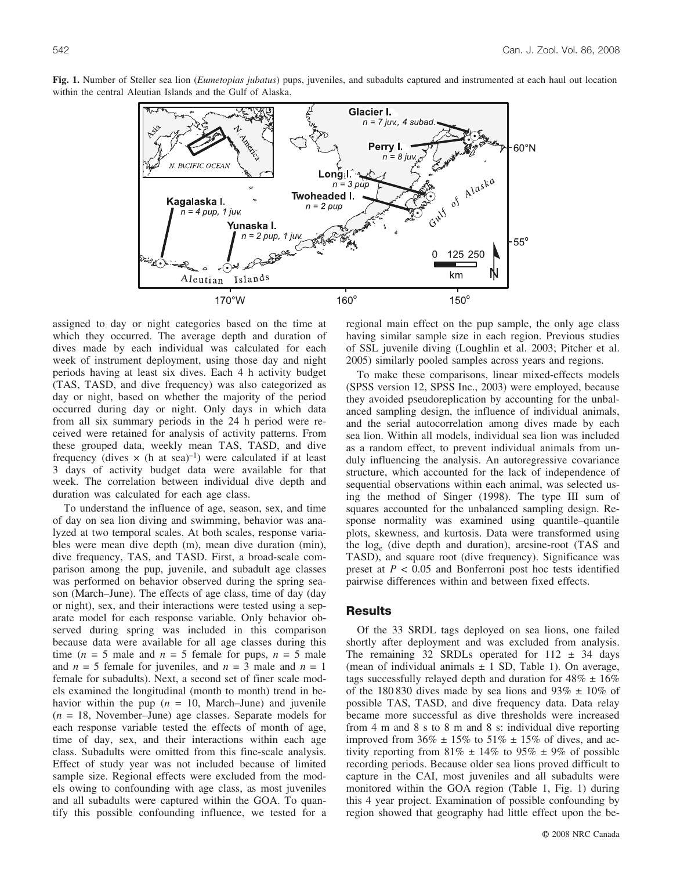

**Fig. 1.** Number of Steller sea lion (*Eumetopias jubatus*) pups, juveniles, and subadults captured and instrumented at each haul out location within the central Aleutian Islands and the Gulf of Alaska.

assigned to day or night categories based on the time at which they occurred. The average depth and duration of dives made by each individual was calculated for each week of instrument deployment, using those day and night periods having at least six dives. Each 4 h activity budget (TAS, TASD, and dive frequency) was also categorized as day or night, based on whether the majority of the period occurred during day or night. Only days in which data from all six summary periods in the 24 h period were received were retained for analysis of activity patterns. From these grouped data, weekly mean TAS, TASD, and dive frequency (dives  $\times$  (h at sea)<sup>-1</sup>) were calculated if at least 3 days of activity budget data were available for that week. The correlation between individual dive depth and duration was calculated for each age class.

To understand the influence of age, season, sex, and time of day on sea lion diving and swimming, behavior was analyzed at two temporal scales. At both scales, response variables were mean dive depth (m), mean dive duration (min), dive frequency, TAS, and TASD. First, a broad-scale comparison among the pup, juvenile, and subadult age classes was performed on behavior observed during the spring season (March–June). The effects of age class, time of day (day or night), sex, and their interactions were tested using a separate model for each response variable. Only behavior observed during spring was included in this comparison because data were available for all age classes during this time ( $n = 5$  male and  $n = 5$  female for pups,  $n = 5$  male and  $n = 5$  female for juveniles, and  $n = 3$  male and  $n = 1$ female for subadults). Next, a second set of finer scale models examined the longitudinal (month to month) trend in behavior within the pup  $(n = 10, \text{ March}$ –June) and juvenile (*n* = 18, November–June) age classes. Separate models for each response variable tested the effects of month of age, time of day, sex, and their interactions within each age class. Subadults were omitted from this fine-scale analysis. Effect of study year was not included because of limited sample size. Regional effects were excluded from the models owing to confounding with age class, as most juveniles and all subadults were captured within the GOA. To quantify this possible confounding influence, we tested for a regional main effect on the pup sample, the only age class having similar sample size in each region. Previous studies of SSL juvenile diving (Loughlin et al. 2003; Pitcher et al. 2005) similarly pooled samples across years and regions.

To make these comparisons, linear mixed-effects models (SPSS version 12, SPSS Inc., 2003) were employed, because they avoided pseudoreplication by accounting for the unbalanced sampling design, the influence of individual animals, and the serial autocorrelation among dives made by each sea lion. Within all models, individual sea lion was included as a random effect, to prevent individual animals from unduly influencing the analysis. An autoregressive covariance structure, which accounted for the lack of independence of sequential observations within each animal, was selected using the method of Singer (1998). The type III sum of squares accounted for the unbalanced sampling design. Response normality was examined using quantile–quantile plots, skewness, and kurtosis. Data were transformed using the loge (dive depth and duration), arcsine-root (TAS and TASD), and square root (dive frequency). Significance was preset at  $P < 0.05$  and Bonferroni post hoc tests identified pairwise differences within and between fixed effects.

## **Results**

Of the 33 SRDL tags deployed on sea lions, one failed shortly after deployment and was excluded from analysis. The remaining 32 SRDLs operated for  $112 \pm 34$  days (mean of individual animals  $\pm$  1 SD, Table 1). On average, tags successfully relayed depth and duration for  $48\% \pm 16\%$ of the 180 830 dives made by sea lions and  $93\% \pm 10\%$  of possible TAS, TASD, and dive frequency data. Data relay became more successful as dive thresholds were increased from 4 m and 8 s to 8 m and 8 s: individual dive reporting improved from  $36\% \pm 15\%$  to  $51\% \pm 15\%$  of dives, and activity reporting from  $81\% \pm 14\%$  to  $95\% \pm 9\%$  of possible recording periods. Because older sea lions proved difficult to capture in the CAI, most juveniles and all subadults were monitored within the GOA region (Table 1, Fig. 1) during this 4 year project. Examination of possible confounding by region showed that geography had little effect upon the be-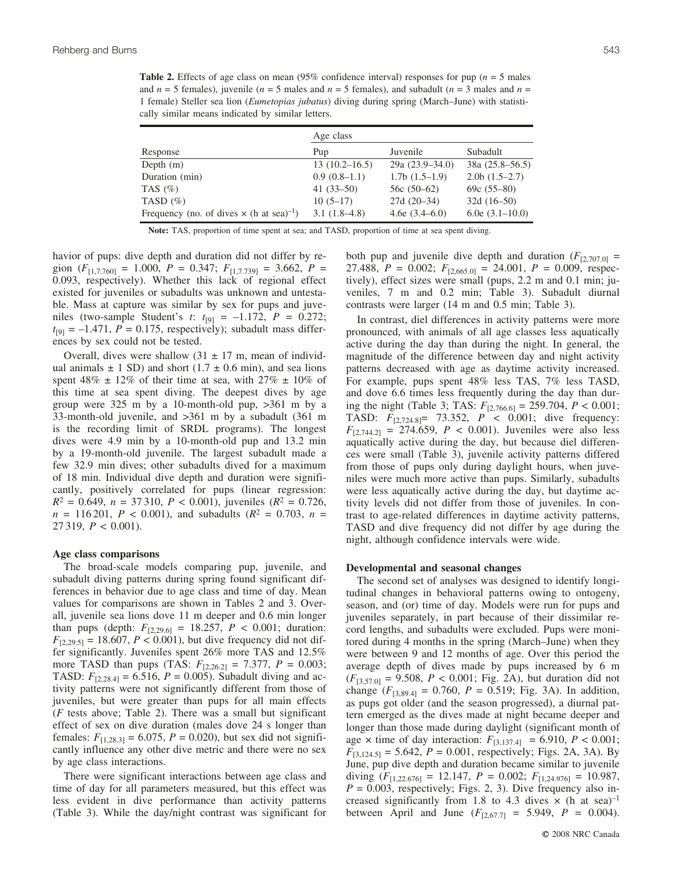**Table 2.** Effects of age class on mean  $(95\%$  confidence interval) responses for pup ( $n = 5$  males and  $n = 5$  females), juvenile ( $n = 5$  males and  $n = 5$  females), and subadult ( $n = 3$  males and  $n = 5$ ) 1 female) Steller sea lion (*Eumetopias jubatus*) diving during spring (March–June) with statistically similar means indicated by similar letters.

|                                                             | Age class         |                     |                     |  |  |
|-------------------------------------------------------------|-------------------|---------------------|---------------------|--|--|
| Response                                                    | Pup               | Juvenile            | Subadult            |  |  |
| Depth $(m)$                                                 | $13(10.2 - 16.5)$ | $29a (23.9 - 34.0)$ | $38a (25.8 - 56.5)$ |  |  |
| Duration (min)                                              | $0.9(0.8-1.1)$    | $1.7b(1.5-1.9)$     | $2.0b$ (1.5–2.7)    |  |  |
| TAS $(\%)$                                                  | $41(33-50)$       | 56c $(50-62)$       | $69c(55-80)$        |  |  |
| TASD $(\%)$                                                 | $10(5-17)$        | $27d(20-34)$        | $32d(16-50)$        |  |  |
| Frequency (no. of dives $\times$ (h at sea) <sup>-1</sup> ) | $3.1(1.8-4.8)$    | 4.6e $(3.4-6.0)$    | 6.0e $(3.1-10.0)$   |  |  |

**Note:** TAS, proportion of time spent at sea; and TASD, proportion of time at sea spent diving.

havior of pups: dive depth and duration did not differ by region  $(F_{[1,7,760]} = 1.000, P = 0.347; F_{[1,7,739]} = 3.662, P =$ 0.093, respectively). Whether this lack of regional effect existed for juveniles or subadults was unknown and untestable. Mass at capture was similar by sex for pups and juveniles (two-sample Student's *t*:  $t_{[9]} = -1.172$ ,  $P = 0.272$ ;  $t_{[9]} = -1.471$ ,  $P = 0.175$ , respectively); subadult mass differences by sex could not be tested.

Overall, dives were shallow  $(31 \pm 17 \text{ m})$ , mean of individual animals  $\pm$  1 SD) and short (1.7  $\pm$  0.6 min), and sea lions spent 48%  $\pm$  12% of their time at sea, with 27%  $\pm$  10% of this time at sea spent diving. The deepest dives by age group were 325 m by a 10-month-old pup, >361 m by a 33-month-old juvenile, and >361 m by a subadult (361 m is the recording limit of SRDL programs). The longest dives were 4.9 min by a 10-month-old pup and 13.2 min by a 19-month-old juvenile. The largest subadult made a few 32.9 min dives; other subadults dived for a maximum of 18 min. Individual dive depth and duration were significantly, positively correlated for pups (linear regression:  $R^2 = 0.649$ ,  $n = 37310$ ,  $P < 0.001$ ), juveniles ( $R^2 = 0.726$ ,  $n = 116201$ ,  $P < 0.001$ ), and subadults ( $R^2 = 0.703$ ,  $n =$ 27 319, *P* < 0.001).

### **Age class comparisons**

The broad-scale models comparing pup, juvenile, and subadult diving patterns during spring found significant differences in behavior due to age class and time of day. Mean values for comparisons are shown in Tables 2 and 3. Overall, juvenile sea lions dove 11 m deeper and 0.6 min longer than pups (depth:  $F_{[2,29.6]} = 18.257, P < 0.001$ ; duration:  $F_{[2,29,5]} = 18.607, P < 0.001$ , but dive frequency did not differ significantly. Juveniles spent 26% more TAS and 12.5% more TASD than pups (TAS:  $F_{[2,26.2]} = 7.377$ ,  $P = 0.003$ ; TASD:  $F_{[2,28.4]} = 6.516, P = 0.005$ ). Subadult diving and activity patterns were not significantly different from those of juveniles, but were greater than pups for all main effects (*F* tests above; Table 2). There was a small but significant effect of sex on dive duration (males dove 24 s longer than females:  $F_{[1,28.3]} = 6.075$ ,  $P = 0.020$ ), but sex did not significantly influence any other dive metric and there were no sex by age class interactions.

There were significant interactions between age class and time of day for all parameters measured, but this effect was less evident in dive performance than activity patterns (Table 3). While the day/night contrast was significant for both pup and juvenile dive depth and duration  $(F_{[2,707.0]} =$ 27.488,  $P = 0.002$ ;  $F_{[2,665.0]} = 24.001$ ,  $P = 0.009$ , respectively), effect sizes were small (pups, 2.2 m and 0.1 min; juveniles, 7 m and 0.2 min; Table 3). Subadult diurnal contrasts were larger (14 m and 0.5 min; Table 3).

In contrast, diel differences in activity patterns were more pronounced, with animals of all age classes less aquatically active during the day than during the night. In general, the magnitude of the difference between day and night activity patterns decreased with age as daytime activity increased. For example, pups spent 48% less TAS, 7% less TASD, and dove 6.6 times less frequently during the day than during the night (Table 3; TAS:  $F_{[2,766.6]} = 259.704$ ,  $P < 0.001$ ; TASD:  $F_{[2,724.8]} = 73.352,$   $P < 0.001$ ; dive frequency:  $F_{[2,744.2]} = 274.659$ ,  $P < 0.001$ ). Juveniles were also less aquatically active during the day, but because diel differences were small (Table 3), juvenile activity patterns differed from those of pups only during daylight hours, when juveniles were much more active than pups. Similarly, subadults were less aquatically active during the day, but daytime activity levels did not differ from those of juveniles. In contrast to age-related differences in daytime activity patterns, TASD and dive frequency did not differ by age during the night, although confidence intervals were wide.

#### **Developmental and seasonal changes**

The second set of analyses was designed to identify longitudinal changes in behavioral patterns owing to ontogeny, season, and (or) time of day. Models were run for pups and juveniles separately, in part because of their dissimilar record lengths, and subadults were excluded. Pups were monitored during 4 months in the spring (March–June) when they were between 9 and 12 months of age. Over this period the average depth of dives made by pups increased by 6 m  $(F_{[3,57.0]} = 9.508, P < 0.001;$  Fig. 2A), but duration did not change  $(F_{[3,89.4]} = 0.760, P = 0.519;$  Fig. 3A). In addition, as pups got older (and the season progressed), a diurnal pattern emerged as the dives made at night became deeper and longer than those made during daylight (significant month of age  $\times$  time of day interaction:  $F_{[3,137.4]} = 6.910, P < 0.001;$  $F_{[3,124.5]} = 5.642, P = 0.001$ , respectively; Figs. 2A, 3A). By June, pup dive depth and duration became similar to juvenile diving  $(F_{[1,22.676]} = 12.147, P = 0.002; F_{[1,24.976]} = 10.987,$  $P = 0.003$ , respectively; Figs. 2, 3). Dive frequency also increased significantly from 1.8 to 4.3 dives  $\times$  (h at sea)<sup>-1</sup> between April and June  $(F_{[2,67.7]} = 5.949, P = 0.004)$ .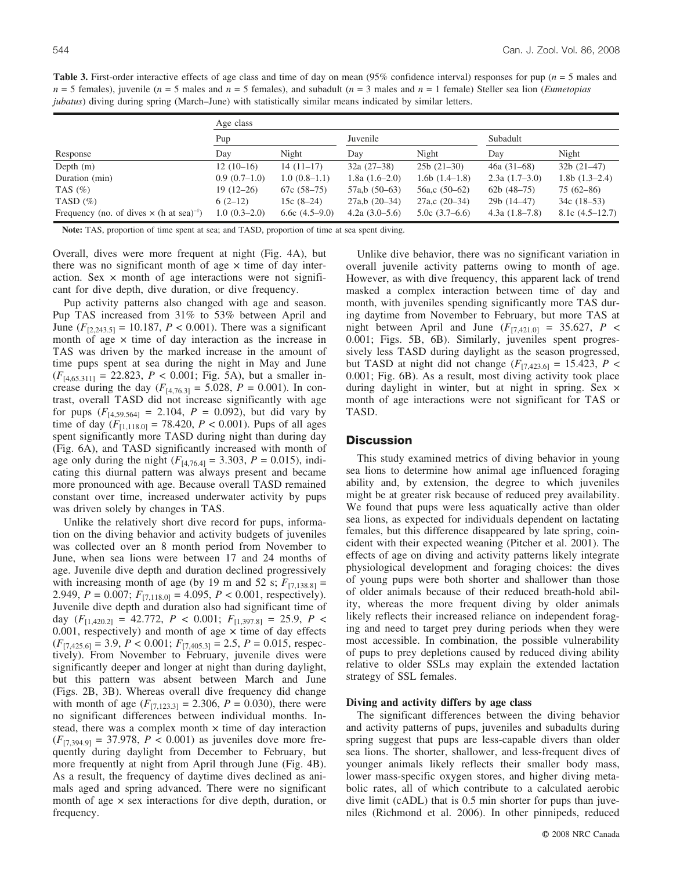**Table 3.** First-order interactive effects of age class and time of day on mean (95% confidence interval) responses for pup (*n* = 5 males and *n* = 5 females), juvenile (*n* = 5 males and *n* = 5 females), and subadult (*n* = 3 males and *n* = 1 female) Steller sea lion (*Eumetopias jubatus*) diving during spring (March–June) with statistically similar means indicated by similar letters.

|                                                             | Age class      |                  |                  |                     |                 |                   |  |  |  |
|-------------------------------------------------------------|----------------|------------------|------------------|---------------------|-----------------|-------------------|--|--|--|
|                                                             | Pup            |                  | Juvenile         |                     | Subadult        |                   |  |  |  |
| Response                                                    | Day            | Night            | Day              | Night               | Day             | Night             |  |  |  |
| Depth $(m)$                                                 | $12(10-16)$    | $14(11-17)$      | $32a(27-38)$     | $25b(21-30)$        | $46a (31-68)$   | $32b(21-47)$      |  |  |  |
| Duration (min)                                              | $0.9(0.7-1.0)$ | $1.0(0.8-1.1)$   | 1.8a $(1.6-2.0)$ | $1.6b(1.4-1.8)$     | $2.3a(1.7-3.0)$ | $1.8b(1.3-2.4)$   |  |  |  |
| TAS $(\% )$                                                 | $19(12-26)$    | $67c(58-75)$     | $57a,b(50-63)$   | 56a,c $(50-62)$     | 62b $(48-75)$   | $75(62 - 86)$     |  |  |  |
| TASD $(\%)$                                                 | $6(2-12)$      | 15c $(8-24)$     | $27a,b(20-34)$   | $27a$ , c $(20-34)$ | $29b(14-47)$    | $34c(18-53)$      |  |  |  |
| Frequency (no. of dives $\times$ (h at sea) <sup>-1</sup> ) | $1.0(0.3-2.0)$ | 6.6c $(4.5-9.0)$ | 4.2a $(3.0-5.6)$ | $5.0c(3.7-6.6)$     | $4.3a(1.8-7.8)$ | $8.1c$ (4.5–12.7) |  |  |  |

**Note:** TAS, proportion of time spent at sea; and TASD, proportion of time at sea spent diving.

Overall, dives were more frequent at night (Fig. 4A), but there was no significant month of age  $\times$  time of day interaction. Sex  $\times$  month of age interactions were not significant for dive depth, dive duration, or dive frequency.

Pup activity patterns also changed with age and season. Pup TAS increased from 31% to 53% between April and June  $(F_{[2,243.5]} = 10.187, P < 0.001)$ . There was a significant month of age  $\times$  time of day interaction as the increase in TAS was driven by the marked increase in the amount of time pups spent at sea during the night in May and June  $(F_{[4,65.311]} = 22.823, P < 0.001$ ; Fig. 5A), but a smaller increase during the day  $(F_{[4,76.3]} = 5.028, P = 0.001)$ . In contrast, overall TASD did not increase significantly with age for pups  $(F_{[4,59.564]} = 2.104, P = 0.092)$ , but did vary by time of day  $(F_{[1,118.0]} = 78.420, P < 0.001)$ . Pups of all ages spent significantly more TASD during night than during day (Fig. 6A), and TASD significantly increased with month of age only during the night  $(F_{[4,76.4]} = 3.303, P = 0.015)$ , indicating this diurnal pattern was always present and became more pronounced with age. Because overall TASD remained constant over time, increased underwater activity by pups was driven solely by changes in TAS.

Unlike the relatively short dive record for pups, information on the diving behavior and activity budgets of juveniles was collected over an 8 month period from November to June, when sea lions were between 17 and 24 months of age. Juvenile dive depth and duration declined progressively with increasing month of age (by 19 m and 52 s;  $F_{[7,138.8]}$  = 2.949,  $P = 0.007$ ;  $F_{[7,118.0]} = 4.095$ ,  $P < 0.001$ , respectively). Juvenile dive depth and duration also had significant time of day  $(F_{[1,420.2]} = 42.772, P < 0.001; F_{[1,397.8]} = 25.9, P <$ 0.001, respectively) and month of age  $\times$  time of day effects  $(F_{[7,425.6]} = 3.9, P < 0.001; F_{[7,405.3]} = 2.5, P = 0.015$ , respectively). From November to February, juvenile dives were significantly deeper and longer at night than during daylight, but this pattern was absent between March and June (Figs. 2B, 3B). Whereas overall dive frequency did change with month of age  $(F_{[7,123.3]} = 2.306, P = 0.030)$ , there were no significant differences between individual months. Instead, there was a complex month  $\times$  time of day interaction  $(F_{[7,394,9]} = 37.978, P < 0.001)$  as juveniles dove more frequently during daylight from December to February, but more frequently at night from April through June (Fig. 4B). As a result, the frequency of daytime dives declined as animals aged and spring advanced. There were no significant month of age  $\times$  sex interactions for dive depth, duration, or frequency.

Unlike dive behavior, there was no significant variation in overall juvenile activity patterns owing to month of age. However, as with dive frequency, this apparent lack of trend masked a complex interaction between time of day and month, with juveniles spending significantly more TAS during daytime from November to February, but more TAS at night between April and June  $(F_{[7,421.0]} = 35.627, P <$ 0.001; Figs. 5B, 6B). Similarly, juveniles spent progressively less TASD during daylight as the season progressed, but TASD at night did not change  $(F_{[7,423,6]} = 15.423, P <$ 0.001; Fig. 6B). As a result, most diving activity took place during daylight in winter, but at night in spring. Sex  $\times$ month of age interactions were not significant for TAS or TASD.

## **Discussion**

This study examined metrics of diving behavior in young sea lions to determine how animal age influenced foraging ability and, by extension, the degree to which juveniles might be at greater risk because of reduced prey availability. We found that pups were less aquatically active than older sea lions, as expected for individuals dependent on lactating females, but this difference disappeared by late spring, coincident with their expected weaning (Pitcher et al. 2001). The effects of age on diving and activity patterns likely integrate physiological development and foraging choices: the dives of young pups were both shorter and shallower than those of older animals because of their reduced breath-hold ability, whereas the more frequent diving by older animals likely reflects their increased reliance on independent foraging and need to target prey during periods when they were most accessible. In combination, the possible vulnerability of pups to prey depletions caused by reduced diving ability relative to older SSLs may explain the extended lactation strategy of SSL females.

#### **Diving and activity differs by age class**

The significant differences between the diving behavior and activity patterns of pups, juveniles and subadults during spring suggest that pups are less-capable divers than older sea lions. The shorter, shallower, and less-frequent dives of younger animals likely reflects their smaller body mass, lower mass-specific oxygen stores, and higher diving metabolic rates, all of which contribute to a calculated aerobic dive limit (cADL) that is 0.5 min shorter for pups than juveniles (Richmond et al. 2006). In other pinnipeds, reduced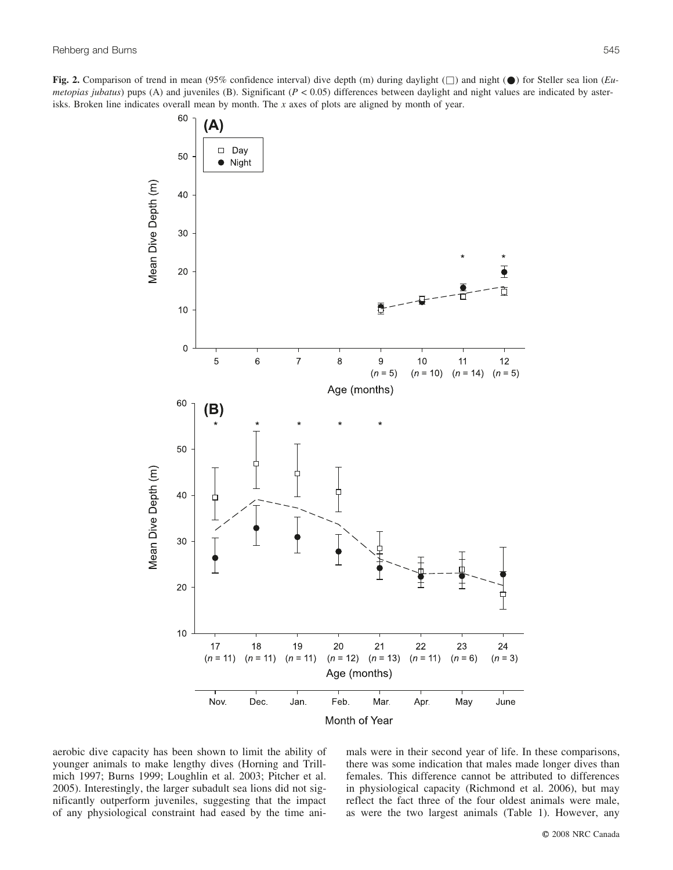**Fig. 2.** Comparison of trend in mean (95% confidence interval) dive depth (m) during daylight ( $\Box$ ) and night ( $\bullet$ ) for Steller sea lion (*Eumetopias jubatus*) pups (A) and juveniles (B). Significant ( $P < 0.05$ ) differences between daylight and night values are indicated by asterisks. Broken line indicates overall mean by month. The *x* axes of plots are aligned by month of year.



aerobic dive capacity has been shown to limit the ability of younger animals to make lengthy dives (Horning and Trillmich 1997; Burns 1999; Loughlin et al. 2003; Pitcher et al. 2005). Interestingly, the larger subadult sea lions did not significantly outperform juveniles, suggesting that the impact of any physiological constraint had eased by the time animals were in their second year of life. In these comparisons, there was some indication that males made longer dives than females. This difference cannot be attributed to differences in physiological capacity (Richmond et al. 2006), but may reflect the fact three of the four oldest animals were male, as were the two largest animals (Table 1). However, any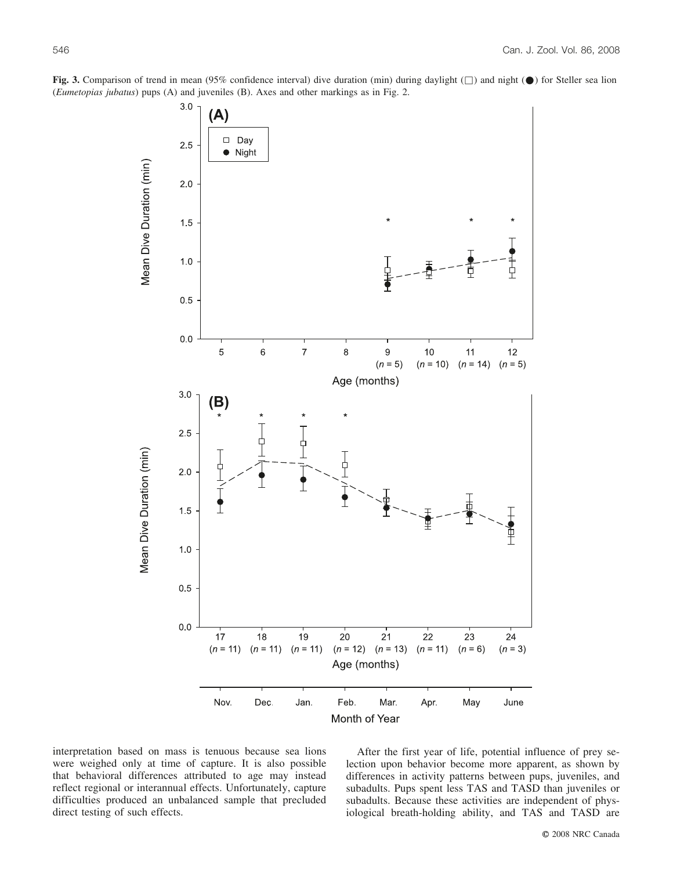

**Fig. 3.** Comparison of trend in mean (95% confidence interval) dive duration (min) during daylight ( $\Box$ ) and night ( $\bullet$ ) for Steller sea lion (*Eumetopias jubatus*) pups (A) and juveniles (B). Axes and other markings as in Fig. 2.

interpretation based on mass is tenuous because sea lions were weighed only at time of capture. It is also possible that behavioral differences attributed to age may instead reflect regional or interannual effects. Unfortunately, capture difficulties produced an unbalanced sample that precluded direct testing of such effects.

After the first year of life, potential influence of prey selection upon behavior become more apparent, as shown by differences in activity patterns between pups, juveniles, and subadults. Pups spent less TAS and TASD than juveniles or subadults. Because these activities are independent of physiological breath-holding ability, and TAS and TASD are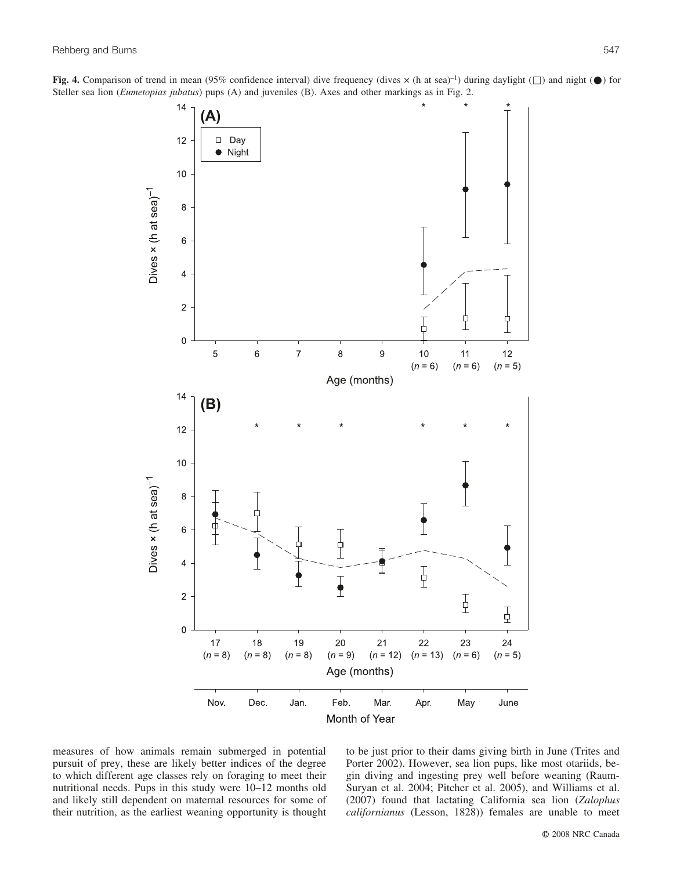Fig. 4. Comparison of trend in mean (95% confidence interval) dive frequency (dives  $\times$  (h at sea)<sup>-1</sup>) during daylight ( $\Box$ ) and night ( $\bullet$ ) for Steller sea lion (*Eumetopias jubatus*) pups (A) and juveniles (B). Axes and other markings as in Fig. 2.



measures of how animals remain submerged in potential pursuit of prey, these are likely better indices of the degree to which different age classes rely on foraging to meet their nutritional needs. Pups in this study were 10–12 months old and likely still dependent on maternal resources for some of their nutrition, as the earliest weaning opportunity is thought to be just prior to their dams giving birth in June (Trites and Porter 2002). However, sea lion pups, like most otariids, begin diving and ingesting prey well before weaning (Raum-Suryan et al. 2004; Pitcher et al. 2005), and Williams et al. (2007) found that lactating California sea lion (*Zalophus californianus* (Lesson, 1828)) females are unable to meet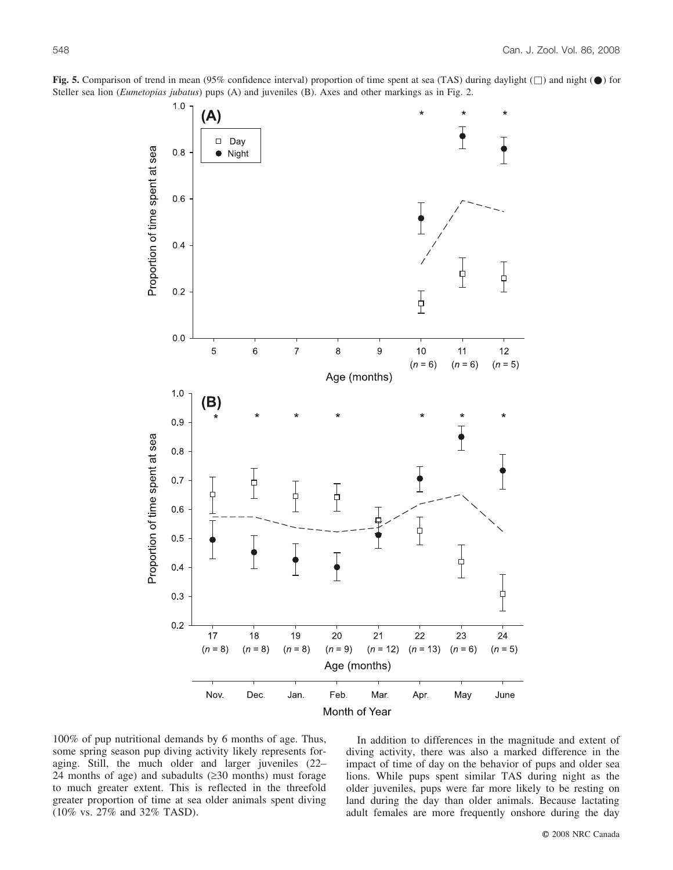

**Fig. 5.** Comparison of trend in mean (95% confidence interval) proportion of time spent at sea (TAS) during daylight  $(\Box)$  and night  $(\Box)$  for Steller sea lion (*Eumetopias jubatus*) pups (A) and juveniles (B). Axes and other markings as in Fig. 2.

100% of pup nutritional demands by 6 months of age. Thus, some spring season pup diving activity likely represents foraging. Still, the much older and larger juveniles (22– 24 months of age) and subadults  $(230 \text{ months})$  must forage to much greater extent. This is reflected in the threefold greater proportion of time at sea older animals spent diving (10% vs. 27% and 32% TASD).

In addition to differences in the magnitude and extent of diving activity, there was also a marked difference in the impact of time of day on the behavior of pups and older sea lions. While pups spent similar TAS during night as the older juveniles, pups were far more likely to be resting on land during the day than older animals. Because lactating adult females are more frequently onshore during the day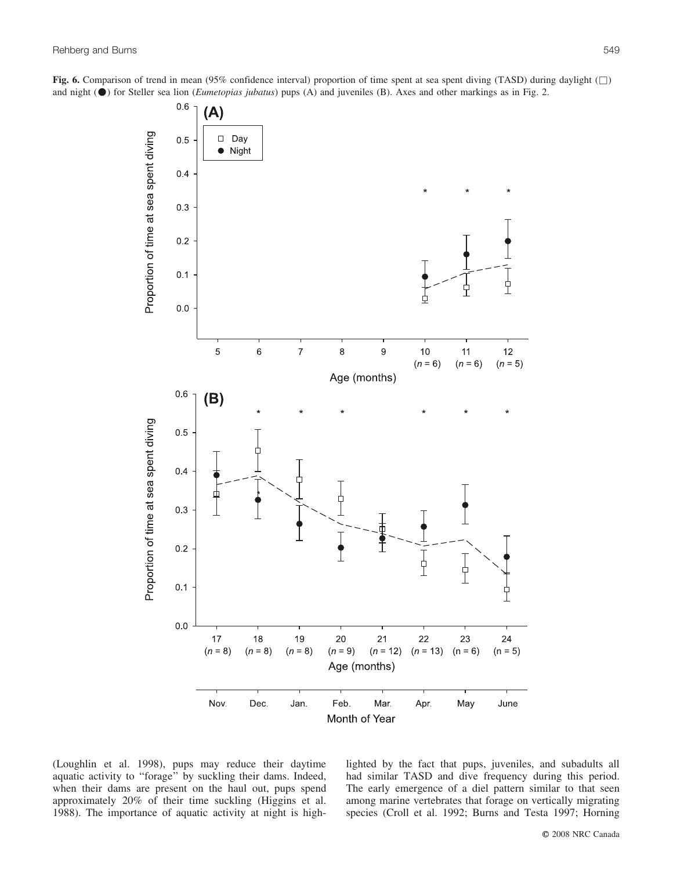**Fig. 6.** Comparison of trend in mean (95% confidence interval) proportion of time spent at sea spent diving (TASD) during daylight ( $\Box$ ) and night (\*) for Steller sea lion (*Eumetopias jubatus*) pups (A) and juveniles (B). Axes and other markings as in Fig. 2.



(Loughlin et al. 1998), pups may reduce their daytime aquatic activity to ''forage'' by suckling their dams. Indeed, when their dams are present on the haul out, pups spend approximately 20% of their time suckling (Higgins et al. 1988). The importance of aquatic activity at night is highlighted by the fact that pups, juveniles, and subadults all had similar TASD and dive frequency during this period. The early emergence of a diel pattern similar to that seen among marine vertebrates that forage on vertically migrating species (Croll et al. 1992; Burns and Testa 1997; Horning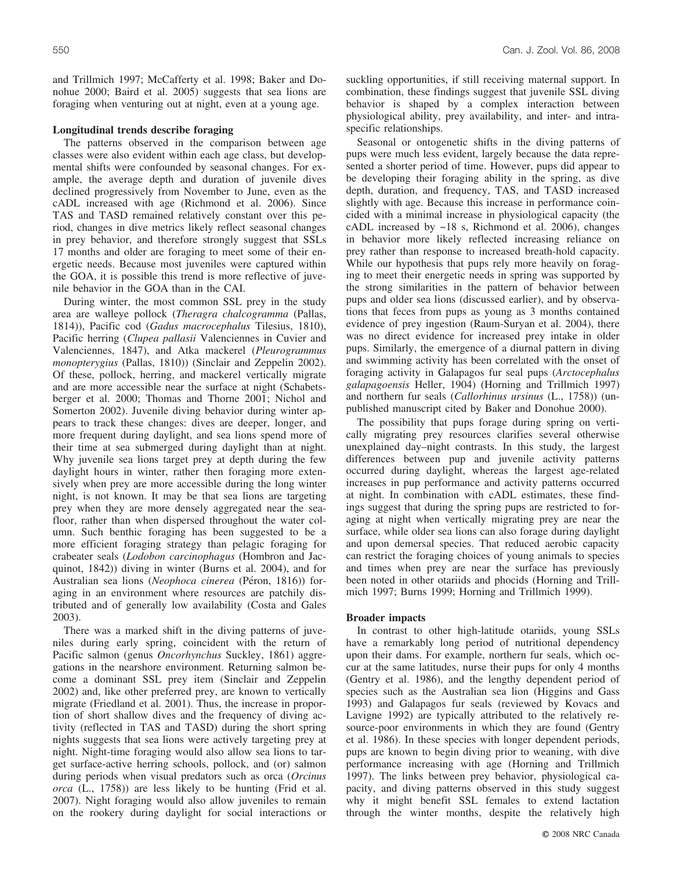and Trillmich 1997; McCafferty et al. 1998; Baker and Donohue 2000; Baird et al. 2005) suggests that sea lions are foraging when venturing out at night, even at a young age.

### **Longitudinal trends describe foraging**

The patterns observed in the comparison between age classes were also evident within each age class, but developmental shifts were confounded by seasonal changes. For example, the average depth and duration of juvenile dives declined progressively from November to June, even as the cADL increased with age (Richmond et al. 2006). Since TAS and TASD remained relatively constant over this period, changes in dive metrics likely reflect seasonal changes in prey behavior, and therefore strongly suggest that SSLs 17 months and older are foraging to meet some of their energetic needs. Because most juveniles were captured within the GOA, it is possible this trend is more reflective of juvenile behavior in the GOA than in the CAI.

During winter, the most common SSL prey in the study area are walleye pollock (*Theragra chalcogramma* (Pallas, 1814)), Pacific cod (*Gadus macrocephalus* Tilesius, 1810), Pacific herring (*Clupea pallasii* Valenciennes in Cuvier and Valenciennes, 1847), and Atka mackerel (*Pleurogrammus monopterygius* (Pallas, 1810)) (Sinclair and Zeppelin 2002). Of these, pollock, herring, and mackerel vertically migrate and are more accessible near the surface at night (Schabetsberger et al. 2000; Thomas and Thorne 2001; Nichol and Somerton 2002). Juvenile diving behavior during winter appears to track these changes: dives are deeper, longer, and more frequent during daylight, and sea lions spend more of their time at sea submerged during daylight than at night. Why juvenile sea lions target prey at depth during the few daylight hours in winter, rather then foraging more extensively when prey are more accessible during the long winter night, is not known. It may be that sea lions are targeting prey when they are more densely aggregated near the seafloor, rather than when dispersed throughout the water column. Such benthic foraging has been suggested to be a more efficient foraging strategy than pelagic foraging for crabeater seals (*Lodobon carcinophagus* (Hombron and Jacquinot, 1842)) diving in winter (Burns et al. 2004), and for Australian sea lions (*Neophoca cinerea* (Péron, 1816)) foraging in an environment where resources are patchily distributed and of generally low availability (Costa and Gales 2003).

There was a marked shift in the diving patterns of juveniles during early spring, coincident with the return of Pacific salmon (genus *Oncorhynchus* Suckley, 1861) aggregations in the nearshore environment. Returning salmon become a dominant SSL prey item (Sinclair and Zeppelin 2002) and, like other preferred prey, are known to vertically migrate (Friedland et al. 2001). Thus, the increase in proportion of short shallow dives and the frequency of diving activity (reflected in TAS and TASD) during the short spring nights suggests that sea lions were actively targeting prey at night. Night-time foraging would also allow sea lions to target surface-active herring schools, pollock, and (or) salmon during periods when visual predators such as orca (*Orcinus orca* (L., 1758)) are less likely to be hunting (Frid et al. 2007). Night foraging would also allow juveniles to remain on the rookery during daylight for social interactions or suckling opportunities, if still receiving maternal support. In combination, these findings suggest that juvenile SSL diving behavior is shaped by a complex interaction between physiological ability, prey availability, and inter- and intraspecific relationships.

Seasonal or ontogenetic shifts in the diving patterns of pups were much less evident, largely because the data represented a shorter period of time. However, pups did appear to be developing their foraging ability in the spring, as dive depth, duration, and frequency, TAS, and TASD increased slightly with age. Because this increase in performance coincided with a minimal increase in physiological capacity (the cADL increased by ~18 s, Richmond et al. 2006), changes in behavior more likely reflected increasing reliance on prey rather than response to increased breath-hold capacity. While our hypothesis that pups rely more heavily on foraging to meet their energetic needs in spring was supported by the strong similarities in the pattern of behavior between pups and older sea lions (discussed earlier), and by observations that feces from pups as young as 3 months contained evidence of prey ingestion (Raum-Suryan et al. 2004), there was no direct evidence for increased prey intake in older pups. Similarly, the emergence of a diurnal pattern in diving and swimming activity has been correlated with the onset of foraging activity in Galapagos fur seal pups (*Arctocephalus galapagoensis* Heller, 1904) (Horning and Trillmich 1997) and northern fur seals (*Callorhinus ursinus* (L., 1758)) (unpublished manuscript cited by Baker and Donohue 2000).

The possibility that pups forage during spring on vertically migrating prey resources clarifies several otherwise unexplained day–night contrasts. In this study, the largest differences between pup and juvenile activity patterns occurred during daylight, whereas the largest age-related increases in pup performance and activity patterns occurred at night. In combination with cADL estimates, these findings suggest that during the spring pups are restricted to foraging at night when vertically migrating prey are near the surface, while older sea lions can also forage during daylight and upon demersal species. That reduced aerobic capacity can restrict the foraging choices of young animals to species and times when prey are near the surface has previously been noted in other otariids and phocids (Horning and Trillmich 1997; Burns 1999; Horning and Trillmich 1999).

## **Broader impacts**

In contrast to other high-latitude otariids, young SSLs have a remarkably long period of nutritional dependency upon their dams. For example, northern fur seals, which occur at the same latitudes, nurse their pups for only 4 months (Gentry et al. 1986), and the lengthy dependent period of species such as the Australian sea lion (Higgins and Gass 1993) and Galapagos fur seals (reviewed by Kovacs and Lavigne 1992) are typically attributed to the relatively resource-poor environments in which they are found (Gentry et al. 1986). In these species with longer dependent periods, pups are known to begin diving prior to weaning, with dive performance increasing with age (Horning and Trillmich 1997). The links between prey behavior, physiological capacity, and diving patterns observed in this study suggest why it might benefit SSL females to extend lactation through the winter months, despite the relatively high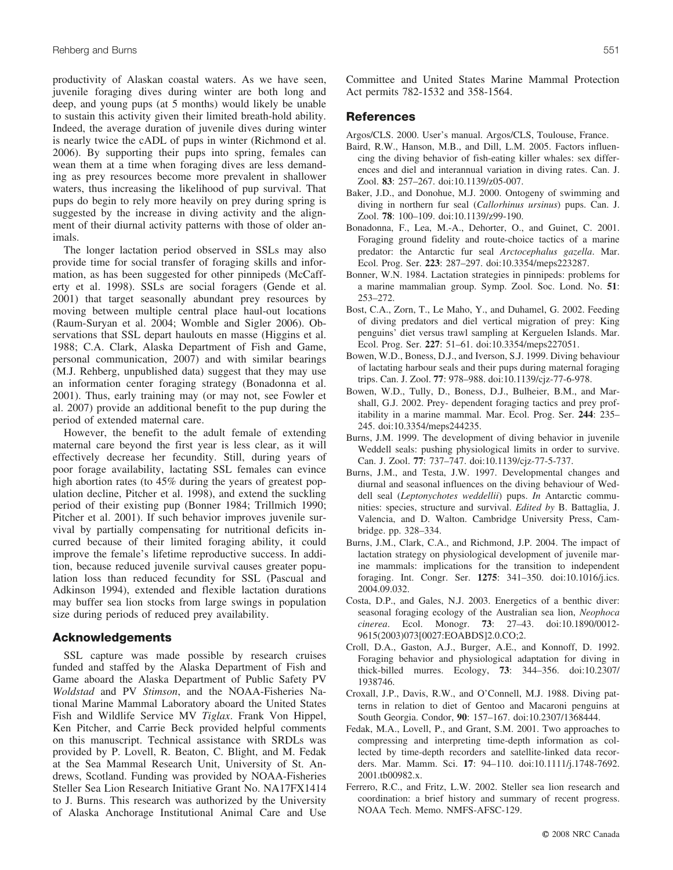productivity of Alaskan coastal waters. As we have seen, juvenile foraging dives during winter are both long and deep, and young pups (at 5 months) would likely be unable to sustain this activity given their limited breath-hold ability. Indeed, the average duration of juvenile dives during winter is nearly twice the cADL of pups in winter (Richmond et al. 2006). By supporting their pups into spring, females can wean them at a time when foraging dives are less demanding as prey resources become more prevalent in shallower waters, thus increasing the likelihood of pup survival. That pups do begin to rely more heavily on prey during spring is suggested by the increase in diving activity and the alignment of their diurnal activity patterns with those of older animals.

The longer lactation period observed in SSLs may also provide time for social transfer of foraging skills and information, as has been suggested for other pinnipeds (McCafferty et al. 1998). SSLs are social foragers (Gende et al. 2001) that target seasonally abundant prey resources by moving between multiple central place haul-out locations (Raum-Suryan et al. 2004; Womble and Sigler 2006). Observations that SSL depart haulouts en masse (Higgins et al. 1988; C.A. Clark, Alaska Department of Fish and Game, personal communication, 2007) and with similar bearings (M.J. Rehberg, unpublished data) suggest that they may use an information center foraging strategy (Bonadonna et al. 2001). Thus, early training may (or may not, see Fowler et al. 2007) provide an additional benefit to the pup during the period of extended maternal care.

However, the benefit to the adult female of extending maternal care beyond the first year is less clear, as it will effectively decrease her fecundity. Still, during years of poor forage availability, lactating SSL females can evince high abortion rates (to 45% during the years of greatest population decline, Pitcher et al. 1998), and extend the suckling period of their existing pup (Bonner 1984; Trillmich 1990; Pitcher et al. 2001). If such behavior improves juvenile survival by partially compensating for nutritional deficits incurred because of their limited foraging ability, it could improve the female's lifetime reproductive success. In addition, because reduced juvenile survival causes greater population loss than reduced fecundity for SSL (Pascual and Adkinson 1994), extended and flexible lactation durations may buffer sea lion stocks from large swings in population size during periods of reduced prey availability.

## **Acknowledgements**

SSL capture was made possible by research cruises funded and staffed by the Alaska Department of Fish and Game aboard the Alaska Department of Public Safety PV *Woldstad* and PV *Stimson*, and the NOAA-Fisheries National Marine Mammal Laboratory aboard the United States Fish and Wildlife Service MV *Tiglax*. Frank Von Hippel, Ken Pitcher, and Carrie Beck provided helpful comments on this manuscript. Technical assistance with SRDLs was provided by P. Lovell, R. Beaton, C. Blight, and M. Fedak at the Sea Mammal Research Unit, University of St. Andrews, Scotland. Funding was provided by NOAA-Fisheries Steller Sea Lion Research Initiative Grant No. NA17FX1414 to J. Burns. This research was authorized by the University of Alaska Anchorage Institutional Animal Care and Use Committee and United States Marine Mammal Protection Act permits 782-1532 and 358-1564.

## **References**

Argos/CLS. 2000. User's manual. Argos/CLS, Toulouse, France.

- Baird, R.W., Hanson, M.B., and Dill, L.M. 2005. Factors influencing the diving behavior of fish-eating killer whales: sex differences and diel and interannual variation in diving rates. Can. J. Zool. **83**: 257–267. doi:10.1139/z05-007.
- Baker, J.D., and Donohue, M.J. 2000. Ontogeny of swimming and diving in northern fur seal (*Callorhinus ursinus*) pups. Can. J. Zool. **78**: 100–109. doi:10.1139/z99-190.
- Bonadonna, F., Lea, M.-A., Dehorter, O., and Guinet, C. 2001. Foraging ground fidelity and route-choice tactics of a marine predator: the Antarctic fur seal *Arctocephalus gazella*. Mar. Ecol. Prog. Ser. **223**: 287–297. doi:10.3354/meps223287.
- Bonner, W.N. 1984. Lactation strategies in pinnipeds: problems for a marine mammalian group. Symp. Zool. Soc. Lond. No. **51**: 253–272.
- Bost, C.A., Zorn, T., Le Maho, Y., and Duhamel, G. 2002. Feeding of diving predators and diel vertical migration of prey: King penguins' diet versus trawl sampling at Kerguelen Islands. Mar. Ecol. Prog. Ser. **227**: 51–61. doi:10.3354/meps227051.
- Bowen, W.D., Boness, D.J., and Iverson, S.J. 1999. Diving behaviour of lactating harbour seals and their pups during maternal foraging trips. Can. J. Zool. **77**: 978–988. doi:10.1139/cjz-77-6-978.
- Bowen, W.D., Tully, D., Boness, D.J., Bulheier, B.M., and Marshall, G.J. 2002. Prey- dependent foraging tactics and prey profitability in a marine mammal. Mar. Ecol. Prog. Ser. **244**: 235– 245. doi:10.3354/meps244235.
- Burns, J.M. 1999. The development of diving behavior in juvenile Weddell seals: pushing physiological limits in order to survive. Can. J. Zool. **77**: 737–747. doi:10.1139/cjz-77-5-737.
- Burns, J.M., and Testa, J.W. 1997. Developmental changes and diurnal and seasonal influences on the diving behaviour of Weddell seal (*Leptonychotes weddellii*) pups. *In* Antarctic communities: species, structure and survival. *Edited by* B. Battaglia, J. Valencia, and D. Walton. Cambridge University Press, Cambridge. pp. 328–334.
- Burns, J.M., Clark, C.A., and Richmond, J.P. 2004. The impact of lactation strategy on physiological development of juvenile marine mammals: implications for the transition to independent foraging. Int. Congr. Ser. **1275**: 341–350. doi:10.1016/j.ics. 2004.09.032.
- Costa, D.P., and Gales, N.J. 2003. Energetics of a benthic diver: seasonal foraging ecology of the Australian sea lion, *Neophoca cinerea*. Ecol. Monogr. **73**: 27–43. doi:10.1890/0012- 9615(2003)073[0027:EOABDS]2.0.CO;2.
- Croll, D.A., Gaston, A.J., Burger, A.E., and Konnoff, D. 1992. Foraging behavior and physiological adaptation for diving in thick-billed murres. Ecology, **73**: 344–356. doi:10.2307/ 1938746.
- Croxall, J.P., Davis, R.W., and O'Connell, M.J. 1988. Diving patterns in relation to diet of Gentoo and Macaroni penguins at South Georgia. Condor, **90**: 157–167. doi:10.2307/1368444.
- Fedak, M.A., Lovell, P., and Grant, S.M. 2001. Two approaches to compressing and interpreting time-depth information as collected by time-depth recorders and satellite-linked data recorders. Mar. Mamm. Sci. **17**: 94–110. doi:10.1111/j.1748-7692. 2001.tb00982.x.
- Ferrero, R.C., and Fritz, L.W. 2002. Steller sea lion research and coordination: a brief history and summary of recent progress. NOAA Tech. Memo. NMFS-AFSC-129.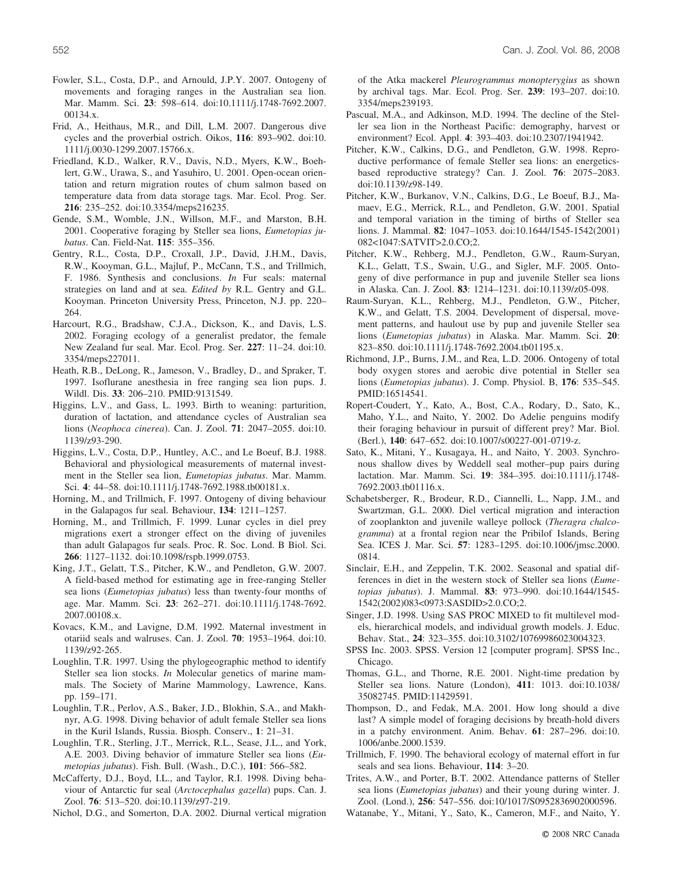- Fowler, S.L., Costa, D.P., and Arnould, J.P.Y. 2007. Ontogeny of movements and foraging ranges in the Australian sea lion. Mar. Mamm. Sci. **23**: 598–614. doi:10.1111/j.1748-7692.2007. 00134.x.
- Frid, A., Heithaus, M.R., and Dill, L.M. 2007. Dangerous dive cycles and the proverbial ostrich. Oikos, **116**: 893–902. doi:10. 1111/j.0030-1299.2007.15766.x.
- Friedland, K.D., Walker, R.V., Davis, N.D., Myers, K.W., Boehlert, G.W., Urawa, S., and Yasuhiro, U. 2001. Open-ocean orientation and return migration routes of chum salmon based on temperature data from data storage tags. Mar. Ecol. Prog. Ser. **216**: 235–252. doi:10.3354/meps216235.
- Gende, S.M., Womble, J.N., Willson, M.F., and Marston, B.H. 2001. Cooperative foraging by Steller sea lions, *Eumetopias jubatus*. Can. Field-Nat. **115**: 355–356.
- Gentry, R.L., Costa, D.P., Croxall, J.P., David, J.H.M., Davis, R.W., Kooyman, G.L., Majluf, P., McCann, T.S., and Trillmich, F. 1986. Synthesis and conclusions. *In* Fur seals: maternal strategies on land and at sea. *Edited by* R.L. Gentry and G.L. Kooyman. Princeton University Press, Princeton, N.J. pp. 220– 264.
- Harcourt, R.G., Bradshaw, C.J.A., Dickson, K., and Davis, L.S. 2002. Foraging ecology of a generalist predator, the female New Zealand fur seal. Mar. Ecol. Prog. Ser. **227**: 11–24. doi:10. 3354/meps227011.
- Heath, R.B., DeLong, R., Jameson, V., Bradley, D., and Spraker, T. 1997. Isoflurane anesthesia in free ranging sea lion pups. J. Wildl. Dis. **33**: 206–210. PMID:9131549.
- Higgins, L.V., and Gass, L. 1993. Birth to weaning: parturition, duration of lactation, and attendance cycles of Australian sea lions (*Neophoca cinerea*). Can. J. Zool. **71**: 2047–2055. doi:10. 1139/z93-290.
- Higgins, L.V., Costa, D.P., Huntley, A.C., and Le Boeuf, B.J. 1988. Behavioral and physiological measurements of maternal investment in the Steller sea lion, *Eumetopias jubatus*. Mar. Mamm. Sci. **4**: 44–58. doi:10.1111/j.1748-7692.1988.tb00181.x.
- Horning, M., and Trillmich, F. 1997. Ontogeny of diving behaviour in the Galapagos fur seal. Behaviour, **134**: 1211–1257.
- Horning, M., and Trillmich, F. 1999. Lunar cycles in diel prey migrations exert a stronger effect on the diving of juveniles than adult Galapagos fur seals. Proc. R. Soc. Lond. B Biol. Sci. **266**: 1127–1132. doi:10.1098/rspb.1999.0753.
- King, J.T., Gelatt, T.S., Pitcher, K.W., and Pendleton, G.W. 2007. A field-based method for estimating age in free-ranging Steller sea lions (*Eumetopias jubatus*) less than twenty-four months of age. Mar. Mamm. Sci. **23**: 262–271. doi:10.1111/j.1748-7692. 2007.00108.x.
- Kovacs, K.M., and Lavigne, D.M. 1992. Maternal investment in otariid seals and walruses. Can. J. Zool. **70**: 1953–1964. doi:10. 1139/z92-265.
- Loughlin, T.R. 1997. Using the phylogeographic method to identify Steller sea lion stocks. *In* Molecular genetics of marine mammals. The Society of Marine Mammology, Lawrence, Kans. pp. 159–171.
- Loughlin, T.R., Perlov, A.S., Baker, J.D., Blokhin, S.A., and Makhnyr, A.G. 1998. Diving behavior of adult female Steller sea lions in the Kuril Islands, Russia. Biosph. Conserv., **1**: 21–31.
- Loughlin, T.R., Sterling, J.T., Merrick, R.L., Sease, J.L., and York, A.E. 2003. Diving behavior of immature Steller sea lions (*Eumetopias jubatus*). Fish. Bull. (Wash., D.C.), **101**: 566–582.
- McCafferty, D.J., Boyd, I.L., and Taylor, R.I. 1998. Diving behaviour of Antarctic fur seal (*Arctocephalus gazella*) pups. Can. J. Zool. **76**: 513–520. doi:10.1139/z97-219.

Nichol, D.G., and Somerton, D.A. 2002. Diurnal vertical migration

of the Atka mackerel *Pleurogrammus monopterygius* as shown by archival tags. Mar. Ecol. Prog. Ser. **239**: 193–207. doi:10. 3354/meps239193.

- Pascual, M.A., and Adkinson, M.D. 1994. The decline of the Steller sea lion in the Northeast Pacific: demography, harvest or environment? Ecol. Appl. **4**: 393–403. doi:10.2307/1941942.
- Pitcher, K.W., Calkins, D.G., and Pendleton, G.W. 1998. Reproductive performance of female Steller sea lions: an energeticsbased reproductive strategy? Can. J. Zool. **76**: 2075–2083. doi:10.1139/z98-149.
- Pitcher, K.W., Burkanov, V.N., Calkins, D.G., Le Boeuf, B.J., Mamaev, E.G., Merrick, R.L., and Pendleton, G.W. 2001. Spatial and temporal variation in the timing of births of Steller sea lions. J. Mammal. **82**: 1047–1053. doi:10.1644/1545-1542(2001) 082<1047:SATVIT>2.0.CO;2.
- Pitcher, K.W., Rehberg, M.J., Pendleton, G.W., Raum-Suryan, K.L., Gelatt, T.S., Swain, U.G., and Sigler, M.F. 2005. Ontogeny of dive performance in pup and juvenile Steller sea lions in Alaska. Can. J. Zool. **83**: 1214–1231. doi:10.1139/z05-098.
- Raum-Suryan, K.L., Rehberg, M.J., Pendleton, G.W., Pitcher, K.W., and Gelatt, T.S. 2004. Development of dispersal, movement patterns, and haulout use by pup and juvenile Steller sea lions (*Eumetopias jubatus*) in Alaska. Mar. Mamm. Sci. **20**: 823–850. doi:10.1111/j.1748-7692.2004.tb01195.x.
- Richmond, J.P., Burns, J.M., and Rea, L.D. 2006. Ontogeny of total body oxygen stores and aerobic dive potential in Steller sea lions (*Eumetopias jubatus*). J. Comp. Physiol. B, **176**: 535–545. PMID:16514541.
- Ropert-Coudert, Y., Kato, A., Bost, C.A., Rodary, D., Sato, K., Maho, Y.L., and Naito, Y. 2002. Do Adelie penguins modify their foraging behaviour in pursuit of different prey? Mar. Biol. (Berl.), **140**: 647–652. doi:10.1007/s00227-001-0719-z.
- Sato, K., Mitani, Y., Kusagaya, H., and Naito, Y. 2003. Synchronous shallow dives by Weddell seal mother–pup pairs during lactation. Mar. Mamm. Sci. **19**: 384–395. doi:10.1111/j.1748- 7692.2003.tb01116.x.
- Schabetsberger, R., Brodeur, R.D., Ciannelli, L., Napp, J.M., and Swartzman, G.L. 2000. Diel vertical migration and interaction of zooplankton and juvenile walleye pollock (*Theragra chalcogramma*) at a frontal region near the Pribilof Islands, Bering Sea. ICES J. Mar. Sci. **57**: 1283–1295. doi:10.1006/jmsc.2000. 0814.
- Sinclair, E.H., and Zeppelin, T.K. 2002. Seasonal and spatial differences in diet in the western stock of Steller sea lions (*Eumetopias jubatus*). J. Mammal. **83**: 973–990. doi:10.1644/1545- 1542(2002)083<0973:SASDID>2.0.CO;2.
- Singer, J.D. 1998. Using SAS PROC MIXED to fit multilevel models, hierarchical models, and individual growth models. J. Educ. Behav. Stat., **24**: 323–355. doi:10.3102/10769986023004323.
- SPSS Inc. 2003. SPSS. Version 12 [computer program]. SPSS Inc., Chicago.
- Thomas, G.L., and Thorne, R.E. 2001. Night-time predation by Steller sea lions. Nature (London), **411**: 1013. doi:10.1038/ 35082745. PMID:11429591.
- Thompson, D., and Fedak, M.A. 2001. How long should a dive last? A simple model of foraging decisions by breath-hold divers in a patchy environment. Anim. Behav. **61**: 287–296. doi:10. 1006/anbe.2000.1539.
- Trillmich, F. 1990. The behavioral ecology of maternal effort in fur seals and sea lions. Behaviour, **114**: 3–20.
- Trites, A.W., and Porter, B.T. 2002. Attendance patterns of Steller sea lions (*Eumetopias jubatus*) and their young during winter. J. Zool. (Lond.), **256**: 547–556. doi:10/1017/S0952836902000596.
- Watanabe, Y., Mitani, Y., Sato, K., Cameron, M.F., and Naito, Y.